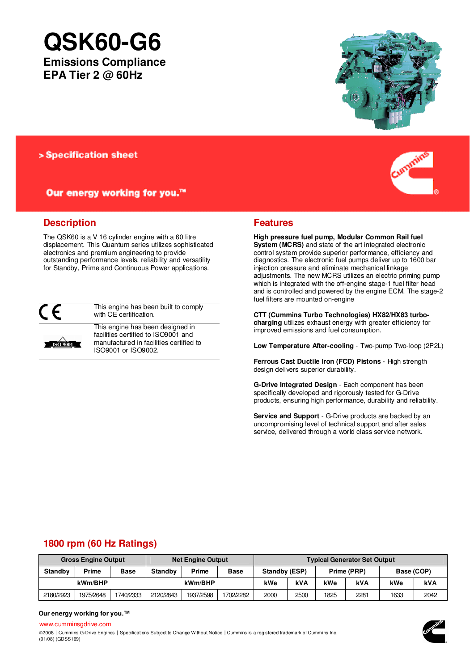# **QSK60-G6**

**Emissions Compliance EPA Tier 2 @ 60Hz** 



> Specification sheet

Our energy working for you.™

## **Description**

The QSK60 is a V 16 cylinder engine with a 60 litre displacement. This Quantum series utilizes sophisticated electronics and premium engineering to provide outstanding performance levels, reliability and versatility for Standby, Prime and Continuous Power applications.



**ISO 9001** 

This engine has been built to comply with CE certification.

This engine has been designed in facilities certified to ISO9001 and manufactured in facilities certified to ISO9001 or ISO9002.



## **Features**

**High pressure fuel pump, Modular Common Rail fuel System (MCRS)** and state of the art integrated electronic control system provide superior performance, efficiency and diagnostics. The electronic fuel pumps deliver up to 1600 bar injection pressure and eliminate mechanical linkage adjustments. The new MCRS utilizes an electric priming pump which is integrated with the off-engine stage-1 fuel filter head and is controlled and powered by the engine ECM. The stage-2 fuel filters are mounted on-engine

**CTT (Cummins Turbo Technologies) HX82/HX83 turbocharging** utilizes exhaust energy with greater efficiency for improved emissions and fuel consumption.

**Low Temperature After-cooling** - Two-pump Two-loop (2P2L)

**Ferrous Cast Ductile Iron (FCD) Pistons** - High strength design delivers superior durability.

**G-Drive Integrated Design** - Each component has been specifically developed and rigorously tested for G-Drive products, ensuring high performance, durability and reliability.

**Service and Support** - G-Drive products are backed by an uncompromising level of technical support and after sales service, delivered through a world class service network.

# **1800 rpm (60 Hz Ratings)**

| <b>Gross Engine Output</b> |           |             | <b>Net Engine Output</b> |           |             | <b>Typical Generator Set Output</b> |      |             |      |            |      |
|----------------------------|-----------|-------------|--------------------------|-----------|-------------|-------------------------------------|------|-------------|------|------------|------|
| <b>Standby</b>             | Prime     | <b>Base</b> | <b>Standby</b>           | Prime     | <b>Base</b> | Standby (ESP)                       |      | Prime (PRP) |      | Base (COP) |      |
| kWm/BHP                    |           |             | kWm/BHP                  |           | kWe         | kVA                                 | kWe  | kVA         | kWe  | kVA        |      |
| 2180/2923                  | 1975/2648 | 1740/2333   | 2120/2843                | 1937/2598 | 1702/2282   | 2000                                | 2500 | 1825        | 2281 | 1633       | 2042 |

#### **Our energy working for you.™**

www.cumminsgdrive.com ©2008 | Cummins G-Drive Engines | Specifications Subject to Change Without Notice | Cummins is a registered trademark of Cummins Inc. (01/08) (GDSS169)